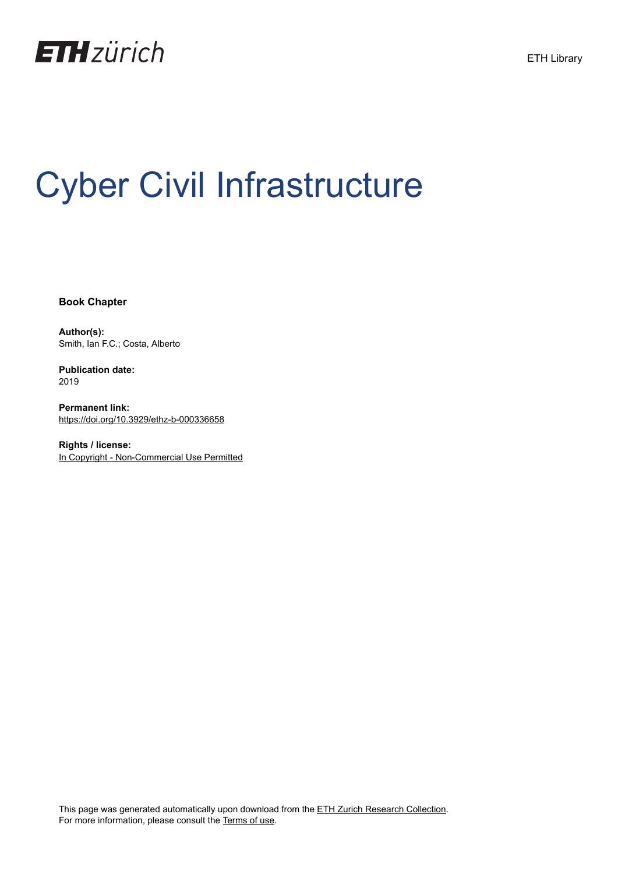

# Cyber Civil Infrastructure

**Book Chapter**

**Author(s):** Smith, Ian F.C.; Costa, Alberto

**Publication date:** 2019

**Permanent link:** <https://doi.org/10.3929/ethz-b-000336658>

**Rights / license:** [In Copyright - Non-Commercial Use Permitted](http://rightsstatements.org/page/InC-NC/1.0/)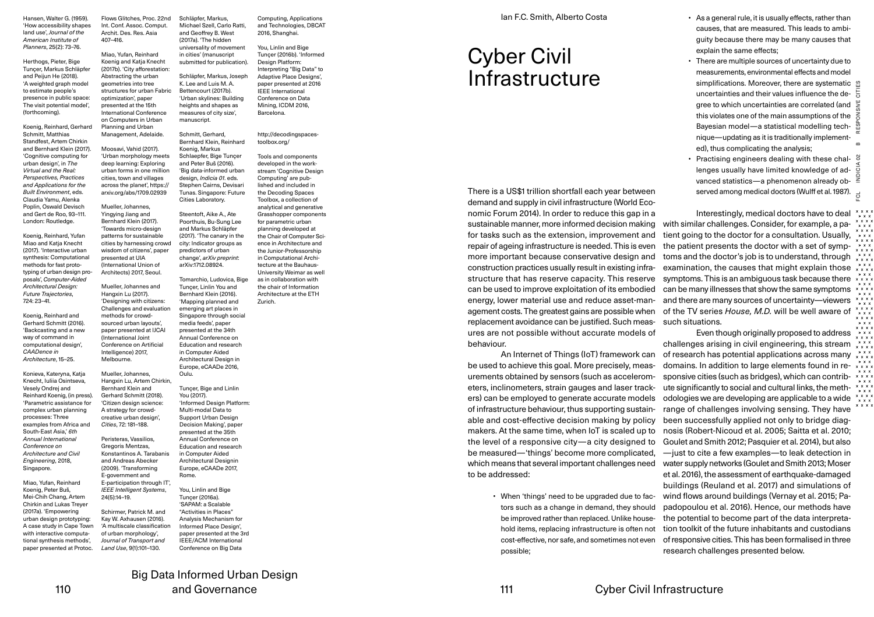Hansen, Walter G. (1959). 'How accessibility shapes land use', *Journal of the American Institute of Planners*, 25(2): 73–76.

Herthogs, Pieter, Bige Tunçer, Markus Schläpfer and Peijun He (2018). 'A weighted graph model to estimate people's presence in public space: The visit potential model', (forthcoming). Abstracting the urban geometries into tree optimization', paper presented at the 15th

407–416.

Planning and Urban

Mueller, Johannes, Yingying Jiang and

presented at UIA

Mueller, Johannes and Hangxin Lu (2017).

methods for crowd-

(International Joint

Intelligence) 2017, Melbourne. Mueller, Johannes,

Bernhard Klein and Gerhard Schmitt (2018).

A strategy for crowdcreative urban design', *Cities*, 72: 181–188. Peristeras, Vassilios, Gregoris Mentzas,

and Andreas Abecker (2009). 'Transforming E-government and

24(5):14–19.

Koenig, Reinhard, Gerhard Schmitt, Matthias Standfest, Artem Chirkin and Bernhard Klein (2017). 'Cognitive computing for urban design', in *The Virtual and the Real: Perspectives, Practices and Applications for the Built Environment*, eds. Claudia Yamu, Alenka Poplin, Oswald Devisch and Gert de Roo, 93–111. London: Routledge.

Koenig, Reinhard, Yufan Miao and Katja Knecht (2017). 'Interactive urban synthesis: Computational methods for fast prototyping of urban design proposals', *Computer-Aided Architectural Design: Future Trajectories*, 724: 23–41.

Koenig, Reinhard and Gerhard Schmitt (2016). 'Backcasting and a new way of command in computational design', *CAADence in Architecture*, 15–25.

Konieva, Kateryna, Katja Knecht, Iuliia Osintseva, Vesely Ondrej and Reinhard Koenig, (in press). 'Parametric assistance for complex urban planning processes: Three examples from Africa and South-East Asia,' *6th Annual International Conference on Architecture and Civil Engineering*, 2018, Singapore. Miao, Yufan, Reinhard Koenig, Peter Buš, Mei-Chih Chang, Artem Chirkin and Lukas Treyer

(2017a). 'Empowering urban design prototyping: A case study in Cape Town with interactive computational synthesis methods', paper presented at Protoc. Kay W. Axhausen (2016). of urban morphology', *Journal of Transport and Land Use*, 9(1):101–130.

Flows Glitches, Proc. 22nd Int. Conf. Assoc. Comput. Archit. Des. Res. Asia Miao, Yufan, Reinhard Koenig and Katja Knecht Schläpfer, Markus, Michael Szell, Carlo Ratti, and Geoffrey B. West (2017a). 'The hidden universality of movement in cities' (manuscript submitted for publication).

(2017b). 'City afforestation: structures for urban Fabric International Conference on Computers in Urban Schläpfer, Markus, Joseph K. Lee and Luis M. A. Bettencourt (2017b). 'Urban skylines: Building heights and shapes as measures of city size', manuscript.

Management, Adelaide. Moosavi, Vahid (2017). 'Urban morphology meets deep learning: Exploring urban forms in one million cities, town and villages across the planet', https:// arxiv.org/abs/1709.02939 Schmitt, Gerhard, Bernhard Klein, Reinhard Koenig, Markus Schlaepfer, Bige Tunçer and Peter Buš (2016). design, *Indicia 01*. eds. Cities Laboratory.

Bernhard Klein (2017). 'Towards micro-design patterns for sustainable cities by harnessing crowd wisdom of citizens', paper (International Union of Architects) 2017, Seoul. Steentoft, Aike A., Ate Poorthuis, Bu-Sung Lee and Markus Schläpfer (2017). 'The canary in the city: Indicator groups as predictors of urban change', *arXiv preprint*: arXiv:1712.08924.

'Designing with citizens: Challenges and evaluation sourced urban layouts', paper presented at IJCAI Conference on Artificial Tunçer, Linlin You and Bernhard Klein (2016). 'Mapping planned and emerging art places in Singapore through social media feeds', paper presented at the 34th Annual Conference on Education and research in Computer Aided Architectural Design in Europe, eCAADe 2016,

Hangxin Lu, Artem Chirkin, 'Citizen design science: Konstantinos A. Tarabanis E-participation through IT', *IEEE Intelligent Systems*, Schirmer, Patrick M. and 'A multiscale classification Tunçer, Bige and Linlin You (2017). Multi-modal Data to Support Urban Design Decision Making', paper presented at the 35th Annual Conference on Education and research in Computer Aided Architectural Designin Europe, eCAADe 2017, Rome. You, Linlin and Bige Tunçer (2016a). 'SAPAM: a Scalable "Activities in Places" Analysis Mechanism for Informed Place Design', paper presented at the 3rd IEEE/ACM International Conference on Big Data

and Technologies, DBCAT 2016, Shanghai. You, Linlin and Bige Tunçer (2016b). 'Informed

Computing, Applications

Design Platform Interpreting "Big Data" to Adaptive Place Designs' paper presented at 2016 IEEE International Conference on Data Mining, ICDM 2016, Barcelona.

http://decodingspacestoolbox.org/

'Big data-informed urban Stephen Cairns, Devisari Tunas. Singapore: Future Tools and components developed in the workstream 'Cognitive Design Computing' are published and included in the Decoding Spaces Toolbox, a collection of analytical and generative Grasshopper components for parametric urban planning developed at

the Chair of Computer Sci-

the chair of Information Architecture at the ETH Zurich.

Oulu.

'Informed Design Platform:

Tomarchio, Ludovica, Bige

ence in Architecture and the Junior-Professorship in Computational Architecture at the Bauhaus-University Weimar as well as in collaboration with

## Ian F.C. Smith, Alberto Costa

# Cyber Civil Infrastructure

There is a US\$1 trillion shortfall each year between demand and supply in civil infrastructure (World Economic Forum 2014). In order to reduce this gap in a sustainable manner, more informed decision making for tasks such as the extension, improvement and repair of ageing infrastructure is needed. This is even more important because conservative design and construction practices usually result in existing infrastructure that has reserve capacity. This reserve can be used to improve exploitation of its embodied energy, lower material use and reduce asset-management costs. The greatest gains are possible when replacement avoidance can be justified. Such measures are not possible without accurate models of behaviour.

An Internet of Things (IoT) framework can be used to achieve this goal. More precisely, measurements obtained by sensors (such as accelerometers, inclinometers, strain gauges and laser trackers) can be employed to generate accurate models of infrastructure behaviour, thus supporting sustainable and cost-effective decision making by policy makers. At the same time, when IoT is scaled up to the level of a responsive city — a city designed to be measured — 'things' become more complicated, which means that several important challenges need to be addressed:

> • When 'things' need to be upgraded due to factors such as a change in demand, they should be improved rather than replaced. Unlike household items, replacing infrastructure is often not cost-effective, nor safe, and sometimes not even possible;

- As a general rule, it is usually effects, rather than causes, that are measured. This leads to ambiguity because there may be many causes that explain the same effects;
- There are multiple sources of uncertainty due to measurements, environmental effects and model simplifications. Moreover, there are systematic solution FCL INDICIA 02 B RESPONSIVE CITIES uncertainties and their values influence the degree to which uncertainties are correlated (and this violates one of the main assumptions of the ă Bayesian model — a statistical modelling technique — updating as it is traditionally implemented), thus complicating the analysis;
- Practising engineers dealing with these chal-  $\delta$ lenges usually have limited knowledge of advanced statistics — a phenomenon already ob- $\frac{2}{5}$ served among medical doctors (Wulff et al. 1987).  $\frac{1}{15}$

 $\vec{O}$ 

Interestingly, medical doctors have to deal with similar challenges. Consider, for example, a patient going to the doctor for a consultation. Usually, the patient presents the doctor with a set of symptoms and the doctor's job is to understand, through examination, the causes that might explain those symptoms. This is an ambiguous task because there  $\rightarrow$ can be many illnesses that show the same symptoms and there are many sources of uncertainty-viewers of the TV series *House, M.D.* will be well aware of such situations.

Even though originally proposed to address challenges arising in civil engineering, this stream of research has potential applications across many domains. In addition to large elements found in re- x x x sponsive cities (such as bridges), which can contribute significantly to social and cultural links, the methodologies we are developing are applicable to a wide range of challenges involving sensing. They have been successfully applied not only to bridge diagnosis (Robert-Nicoud et al. 2005; Saitta et al. 2010; Goulet and Smith 2012; Pasquier et al. 2014), but also —just to cite a few examples — to leak detection in water supply networks (Goulet and Smith 2013; Moser et al. 2016), the assessment of earthquake-damaged buildings (Reuland et al. 2017) and simulations of wind flows around buildings (Vernay et al. 2015; Papadopoulou et al. 2016). Hence, our methods have the potential to become part of the data interpretation toolkit of the future inhabitants and custodians of responsive cities. This has been formalised in three research challenges presented below.

Big Data Informed Urban Design and Governance 110 110 and Governance and Governance and Covernance and Cyber Civil Infrastructure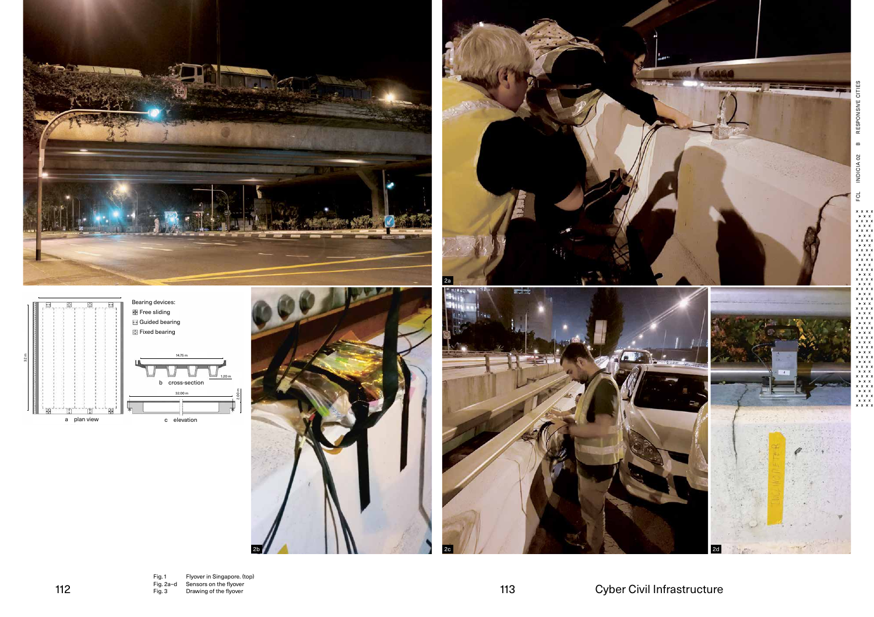

1.20 m

2.00 m









 $2b$   $2c$   $2d$ 

气点

a A space

FCL INDICIA 02 B RESPONSIVE CITIES

EQ

INDICIA 02 B RESPONSIVE CITIES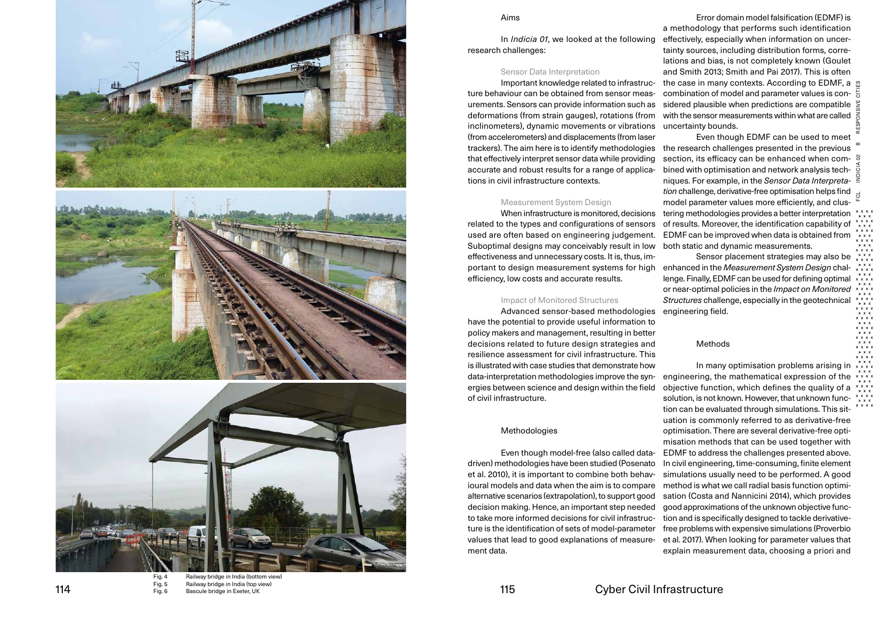





Fig. 4 Railway bridge in India (bottom view ) Fig. 5 Railway bridge in India (top view ) 114 Fig. 5 Fanway bridge in filld (top view)<br>Fig. 6 Bascule bridge in Exeter, UK

#### Aims

In *Indicia 01*, we looked at the following research challenges:

#### Sensor Data Interpretation

Important knowledge related to infrastruc ture behaviour can be obtained from sensor meas urements. Sensors can provide information such as deformations (from strain gauges ), rotations (from inclinometers ), dynamic movements or vibrations (from accelerometers ) and displacements (from laser trackers ). The aim here is to identify methodologies that effectively interpret sensor data while providing accurate and robust results for a range of applica tions in civil infrastructure contexts.

#### Measurement System Design

When infrastructure is monitored, decisions related to the types and configurations of sensors used are often based on engineering judgement. Suboptimal designs may conceivably result in low effectiveness and unnecessary costs. It is, thus, im portant to design measurement systems for high efficiency, low costs and accurate results.

### Impact of Monitored Structures

Advanced sensor-based methodologies have the potential to provide useful information to policy makers and management, resulting in better decisions related to future design strategies and resilience assessment for civil infrastructure. This is illustrated with case studies that demonstrate how data-interpretation methodologies improve the syn ergies between science and design within the field of civil infrastructure.

#### Methodologies

Even though model-free (also called datadriven) methodologies have been studied (Posenato et al. 2010 ), it is important to combine both behav ioural models and data when the aim is to compare alternative scenarios (extrapolation ), to support good decision making. Hence, an important step needed to take more informed decisions for civil infrastruc ture is the identification of sets of model-parameter values that lead to good explanations of measure ment data.

Error domain model falsification (EDMF ) is a methodology that performs such identification effectively, especially when information on uncer tainty sources, including distribution forms, corre lations and bias, is not completely known (Goulet and Smith 2013; Smith and Pai 2017 ). This is often the case in many contexts. According to EDMF, a  $\%$ combination of model and parameter values is con sidered plausible when predictions are compatible with the sensor measurements within what are called  $\frac{2}{5}$ uncertainty bounds.

FCL INDICIA 02 B RESPONSIVE CITIES Even though EDMF can be used to meet the research challenges presented in the previous section, its efficacy can be enhanced when com bined with optimisation and network analysis tech niques. For example, in the *Sensor Data Interpreta tion* challenge, derivative-free optimisation helps find model parameter values more efficiently, and clus tering methodologies provides a better interpretation of results. Moreover, the identification capability of EDMF can be improved when data is obtained from both static and dynamic measurements.

Sensor placement strategies may also be enhanced in the *Measurement System Design* chal lenge. Finally, EDMF can be used for defining optimal or near-optimal policies in the *Impact on Monitored Structures* challenge, especially in the geotechnical engineering field.

### Methods

In many optimisation problems arising in engineering, the mathematical expression of the objective function, which defines the quality of a solution, is not known. However, that unknown func tion can be evaluated through simulations. This sit uation is commonly referred to as derivative-free optimisation. There are several derivative-free opti misation methods that can be used together with EDMF to address the challenges presented above. In civil engineering, time-consuming, finite element simulations usually need to be performed. A good method is what we call radial basis function optimi sation (Costa and Nannicini 2014 ), which provides good approximations of the unknown objective func tion and is specifically designed to tackle derivativefree problems with expensive simulations (Proverbio et al. 2017 ). When looking for parameter values that explain measurement data, choosing a priori and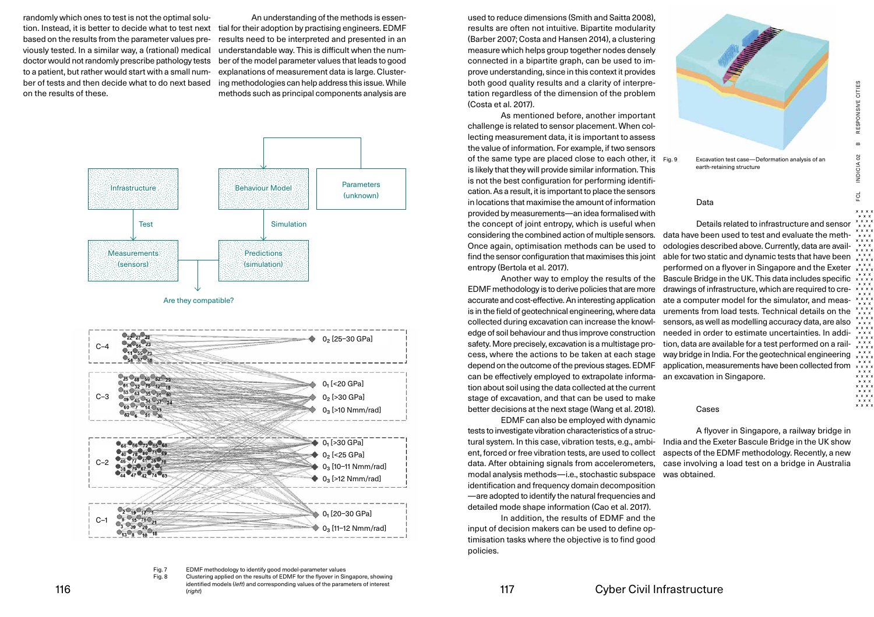randomly which ones to test is not the optimal solution. Instead, it is better to decide what to test next based on the results from the parameter values previously tested. In a similar way, a (rational) medical doctor would not randomly prescribe pathology tests to a patient, but rather would start with a small number of tests and then decide what to do next based on the results of these.

An understanding of the methods is essential for their adoption by practising engineers. EDMF results need to be interpreted and presented in an understandable way. This is difficult when the number of the model parameter values that leads to good explanations of measurement data is large. Clustering methodologies can help address this issue. While methods such as principal components analysis are



Fig. 7 EDMF methodology to identify good model-parameter values Fig. 8 Clustering applied on the results of EDMF for the flyover in Singapore, showing

identified models (*left*) and corresponding values of the parameters of interest (*right*)  $\frac{116}{(right)}$  (right)

used to reduce dimensions (Smith and Saitta 2008), results are often not intuitive. Bipartite modularity (Barber 2007; Costa and Hansen 2014), a clustering measure which helps group together nodes densely connected in a bipartite graph, can be used to improve understanding, since in this context it provides both good quality results and a clarity of interpretation regardless of the dimension of the problem (Costa et al. 2017).

As mentioned before, another important challenge is related to sensor placement. When collecting measurement data, it is important to assess the value of information. For example, if two sensors of the same type are placed close to each other, it Fig. 9 is likely that they will provide similar information. This is not the best configuration for performing identification. As a result, it is important to place the sensors in locations that maximise the amount of information provided by measurements — an idea formalised with the concept of joint entropy, which is useful when considering the combined action of multiple sensors. Once again, optimisation methods can be used to find the sensor configuration that maximises this joint entropy (Bertola et al. 2017).

Another way to employ the results of the EDMF methodology is to derive policies that are more accurate and cost-effective. An interesting application is in the field of geotechnical engineering, where data collected during excavation can increase the knowledge of soil behaviour and thus improve construction safety. More precisely, excavation is a multistage process, where the actions to be taken at each stage depend on the outcome of the previous stages. EDMF can be effectively employed to extrapolate information about soil using the data collected at the current stage of excavation, and that can be used to make better decisions at the next stage (Wang et al. 2018).

EDMF can also be employed with dynamic tests to investigate vibration characteristics of a structural system. In this case, vibration tests, e.g., ambient, forced or free vibration tests, are used to collect data. After obtaining signals from accelerometers, modal analysis methods — i.e., stochastic subspace identification and frequency domain decomposition — are adopted to identify the natural frequencies and detailed mode shape information (Cao et al. 2017).

In addition, the results of EDMF and the input of decision makers can be used to define optimisation tasks where the objective is to find good policies.



Excavation test case-Deformation analysis of an earth-retaining structure

#### Data

Details related to infrastructure and sensor data have been used to test and evaluate the methodologies described above. Currently, data are available for two static and dynamic tests that have been performed on a flyover in Singapore and the Exeter Bascule Bridge in the UK. This data includes specific drawings of infrastructure, which are required to create a computer model for the simulator, and measurements from load tests. Technical details on the sensors, as well as modelling accuracy data, are also needed in order to estimate uncertainties. In addition, data are available for a test performed on a railway bridge in India. For the geotechnical engineering application, measurements have been collected from  $x^*$ an excavation in Singapore.

#### Cases

A flyover in Singapore, a railway bridge in India and the Exeter Bascule Bridge in the UK show aspects of the EDMF methodology. Recently, a new case involving a load test on a bridge in Australia was obtained.

\* \* \* \*<br>\* \* \* \*<br>\* \* \* \*<br>\* \* \* \*